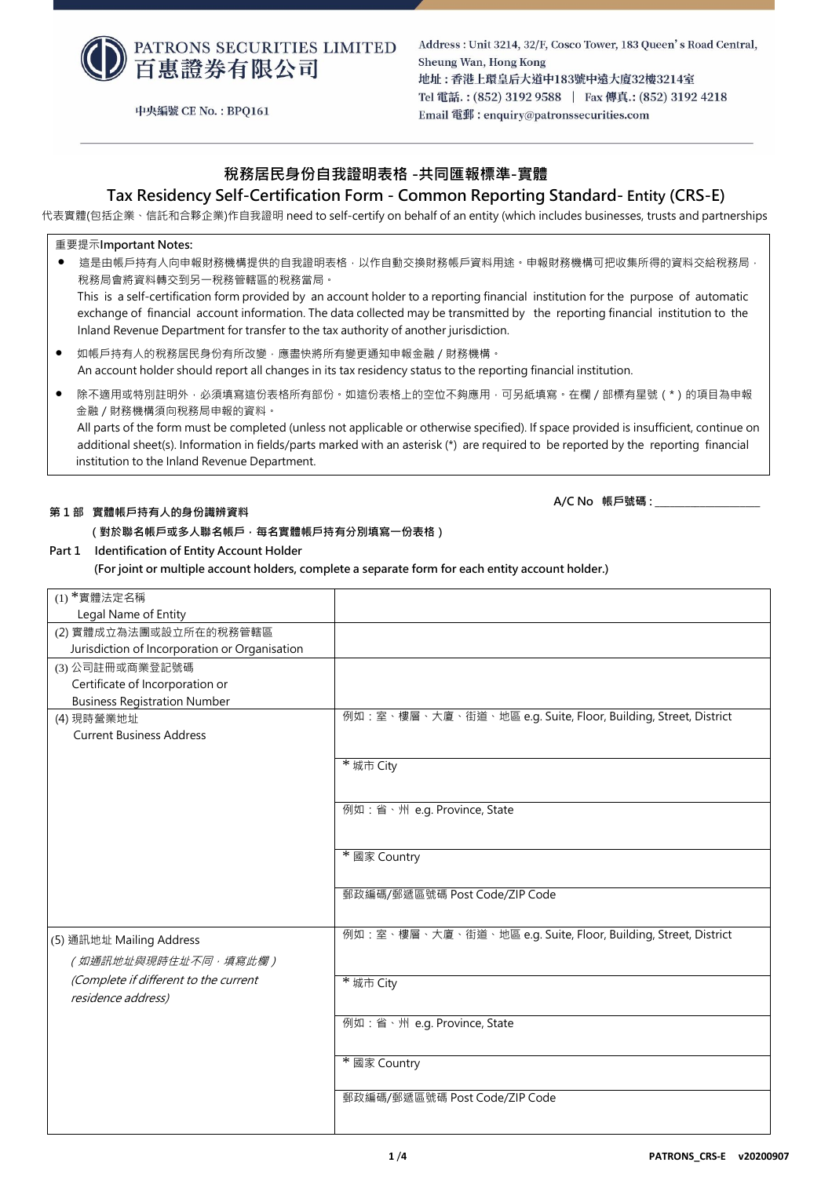

中央編號 CE No.: BPQ161

Address: Unit 3214, 32/F, Cosco Tower, 183 Queen's Road Central, Sheung Wan, Hong Kong 地址:香港上環皇后大道中183號中遠大廈32樓3214室 Tel 電話.: (852) 3192 9588 | Fax 傳真.: (852) 3192 4218 Email 電郵: enquiry@patronssecurities.com

## **稅務居民身份自我證明表格 -共同匯報標準-實體**

## **Tax Residency Self-Certification Form - Common Reporting Standard- Entity (CRS-E)**

代表實體(包括企業、信託和合夥企業)作自我證明 need to self-certify on behalf of an entity (which includes businesses, trusts and partnerships

#### 重要提示**Important Notes:**

● 這是由帳戶持有人向申報財務機構提供的自我證明表格‧以作自動交換財務帳戶資料用途。申報財務機構可把收集所得的資料交給稅務局 稅務局會將資料轉交到另一稅務管轄區的稅務當局。 This is a self-certification form provided by an account holder to a reporting financial institution for the purpose of automatic

exchange of financial account information. The data collected may be transmitted by the reporting financial institution to the Inland Revenue Department for transfer to the tax authority of another jurisdiction.

- 如帳戶持有人的稅務居民身份有所改變,應盡快將所有變更通知申報金融 / 財務機構。 An account holder should report all changes in its tax residency status to the reporting financial institution.
- 除不適用或特別註明外,必須填寫這份表格所有部份。如這份表格上的空位不夠應用,可另紙填寫。在欄 / 部標有星號 ( \* ) 的項目為申報 金融/財務機構須向稅務局申報的資料。

All parts of the form must be completed (unless not applicable or otherwise specified). If space provided is insufficient, continue on additional sheet(s). Information in fields/parts marked with an asterisk (\*) are required to be reported by the reporting financial institution to the Inland Revenue Department.

#### **第 1 部 實體帳戶持有人的身份識辨資料**

## **(對於聯名帳戶或多人聯名帳戶,每名實體帳戶持有分別填寫一份表格)**

### **Part 1 Identification of Entity Account Holder**

 **(For joint or multiple account holders, complete a separate form for each entity account holder.)**

| $(1)$ *實體法定名稱                                 |                                                                |
|-----------------------------------------------|----------------------------------------------------------------|
| Legal Name of Entity                          |                                                                |
| (2) 實體成立為法團或設立所在的稅務管轄區                        |                                                                |
| Jurisdiction of Incorporation or Organisation |                                                                |
| (3) 公司註冊或商業登記號碼                               |                                                                |
| Certificate of Incorporation or               |                                                                |
| <b>Business Registration Number</b>           |                                                                |
| (4) 現時營業地址                                    | 例如:室、樓層、大廈、街道、地區 e.g. Suite, Floor, Building, Street, District |
| <b>Current Business Address</b>               |                                                                |
|                                               |                                                                |
|                                               | * 城市 City                                                      |
|                                               |                                                                |
|                                               | 例如:省、州 e.g. Province, State                                    |
|                                               |                                                                |
|                                               |                                                                |
|                                               | * 國家 Country                                                   |
|                                               |                                                                |
|                                               | 郵政編碼/郵遞區號碼 Post Code/ZIP Code                                  |
|                                               |                                                                |
|                                               | 例如:室、樓層、大廈、街道、地區 e.g. Suite, Floor, Building, Street, District |
| (5) 通訊地址 Mailing Address                      |                                                                |
| (如通訊地址與現時住址不同,填寫此欄)                           |                                                                |
| (Complete if different to the current         | * 城市 City                                                      |
| residence address)                            |                                                                |
|                                               | 例如:省、州 e.g. Province, State                                    |
|                                               |                                                                |
|                                               |                                                                |
|                                               | * 國家 Country                                                   |
|                                               |                                                                |
|                                               | 郵政編碼/郵遞區號碼 Post Code/ZIP Code                                  |
|                                               |                                                                |

**A/C No 帳戶號碼 : \_\_\_\_\_\_\_\_\_\_\_\_\_\_\_\_\_\_\_\_\_**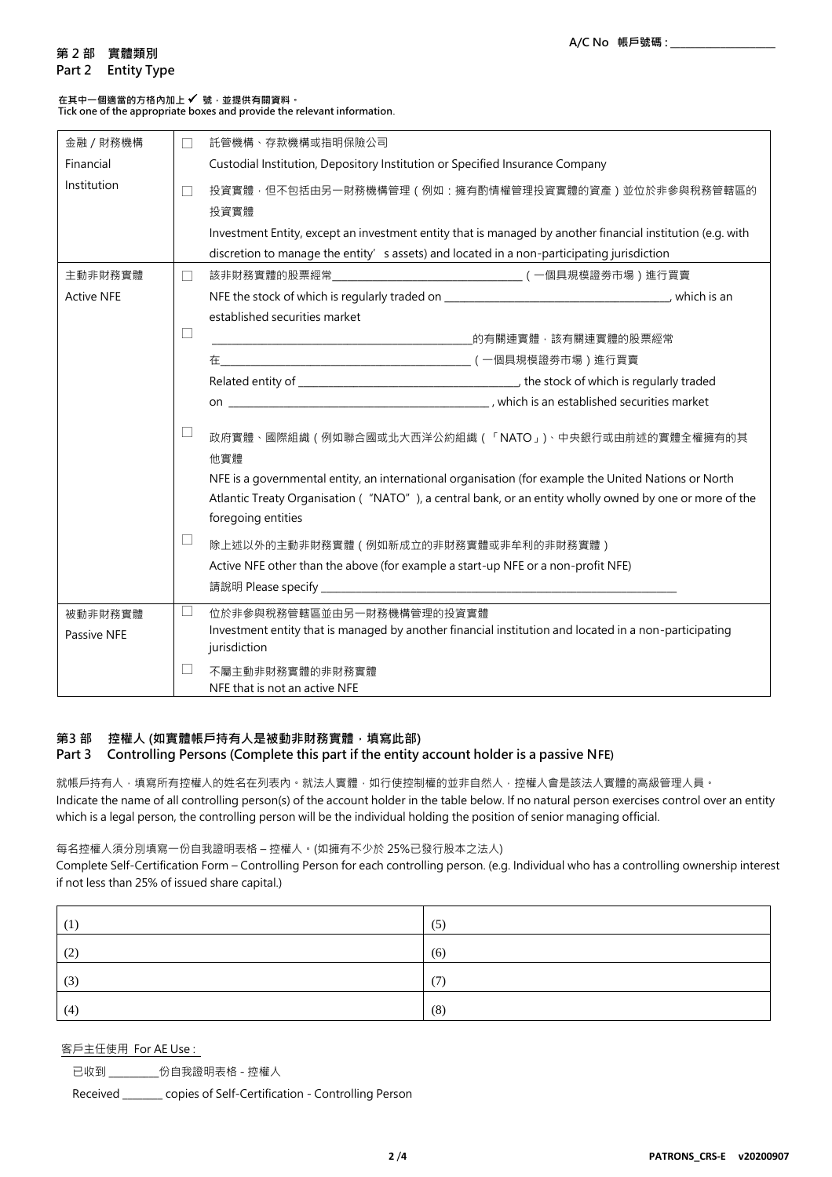## **第 2 部 實體類別**

#### **Part 2 Entity Type**

## **在其中一個適當的方格內加上** ✓ **號,並提供有關資料。**

**Tick one of the appropriate boxes and provide the relevant information**.

| 金融 / 財務機構         | $\Box$ | 託管機構、存款機構或指明保險公司                                                                                                                                                                                                                     |
|-------------------|--------|--------------------------------------------------------------------------------------------------------------------------------------------------------------------------------------------------------------------------------------|
| Financial         |        | Custodial Institution, Depository Institution or Specified Insurance Company                                                                                                                                                         |
| Institution       |        | 投資實體,但不包括由另一財務機構管理(例如:擁有酌情權管理投資實體的資產)並位於非參與稅務管轄區的<br>投資實體                                                                                                                                                                            |
|                   |        | Investment Entity, except an investment entity that is managed by another financial institution (e.g. with                                                                                                                           |
|                   |        | discretion to manage the entity' s assets) and located in a non-participating jurisdiction                                                                                                                                           |
| 主動非財務實體           | $\Box$ |                                                                                                                                                                                                                                      |
| <b>Active NFE</b> |        |                                                                                                                                                                                                                                      |
|                   |        | established securities market                                                                                                                                                                                                        |
|                   | ⊔      |                                                                                                                                                                                                                                      |
|                   |        |                                                                                                                                                                                                                                      |
|                   |        |                                                                                                                                                                                                                                      |
|                   |        |                                                                                                                                                                                                                                      |
|                   | ப      | 政府實體、國際組織(例如聯合國或北大西洋公約組織(「NATO」)、中央銀行或由前述的實體全權擁有的其<br>他實體                                                                                                                                                                            |
|                   |        | NFE is a governmental entity, an international organisation (for example the United Nations or North<br>Atlantic Treaty Organisation ("NATO"), a central bank, or an entity wholly owned by one or more of the<br>foregoing entities |
|                   | ப      | 除上述以外的主動非財務實體(例如新成立的非財務實體或非牟利的非財務實體)                                                                                                                                                                                                 |
|                   |        | Active NFE other than the above (for example a start-up NFE or a non-profit NFE)                                                                                                                                                     |
|                   |        |                                                                                                                                                                                                                                      |
| 被動非財務實體           | $\Box$ | 位於非參與稅務管轄區並由另一財務機構管理的投資實體                                                                                                                                                                                                            |
| Passive NFE       |        | Investment entity that is managed by another financial institution and located in a non-participating<br>jurisdiction                                                                                                                |
|                   | $\Box$ | 不屬主動非財務實體的非財務實體<br>NFE that is not an active NFE                                                                                                                                                                                     |

### **第3 部 控權人 (如實體帳戶持有人是被動非財務實體,填寫此部) Part 3 Controlling Persons (Complete this part if the entity account holder is a passive NFE)**

就帳戶持有人,填寫所有控權人的姓名在列表內。就法人實體,如行使控制權的並非自然人,控權人會是該法人實體的高級管理人員。 Indicate the name of all controlling person(s) of the account holder in the table below. If no natural person exercises control over an entity which is a legal person, the controlling person will be the individual holding the position of senior managing official.

### 每名控權人須分別填寫一份自我證明表格 – 控權人。(如擁有不少於 25%已發行股本之法人)

Complete Self-Certification Form – Controlling Person for each controlling person. (e.g. Individual who has a controlling ownership interest if not less than 25% of issued share capital.)

|                        | (5) |
|------------------------|-----|
| $\bigcap$<br><b>14</b> | (6) |
| (3)                    | (7) |
| (4)                    | (8) |

### 客戶主任使用 For AE Use :

已收到 \_\_\_\_\_\_\_\_\_\_份自我證明表格 - 控權人

Received \_\_\_\_\_\_\_\_ copies of Self-Certification - Controlling Person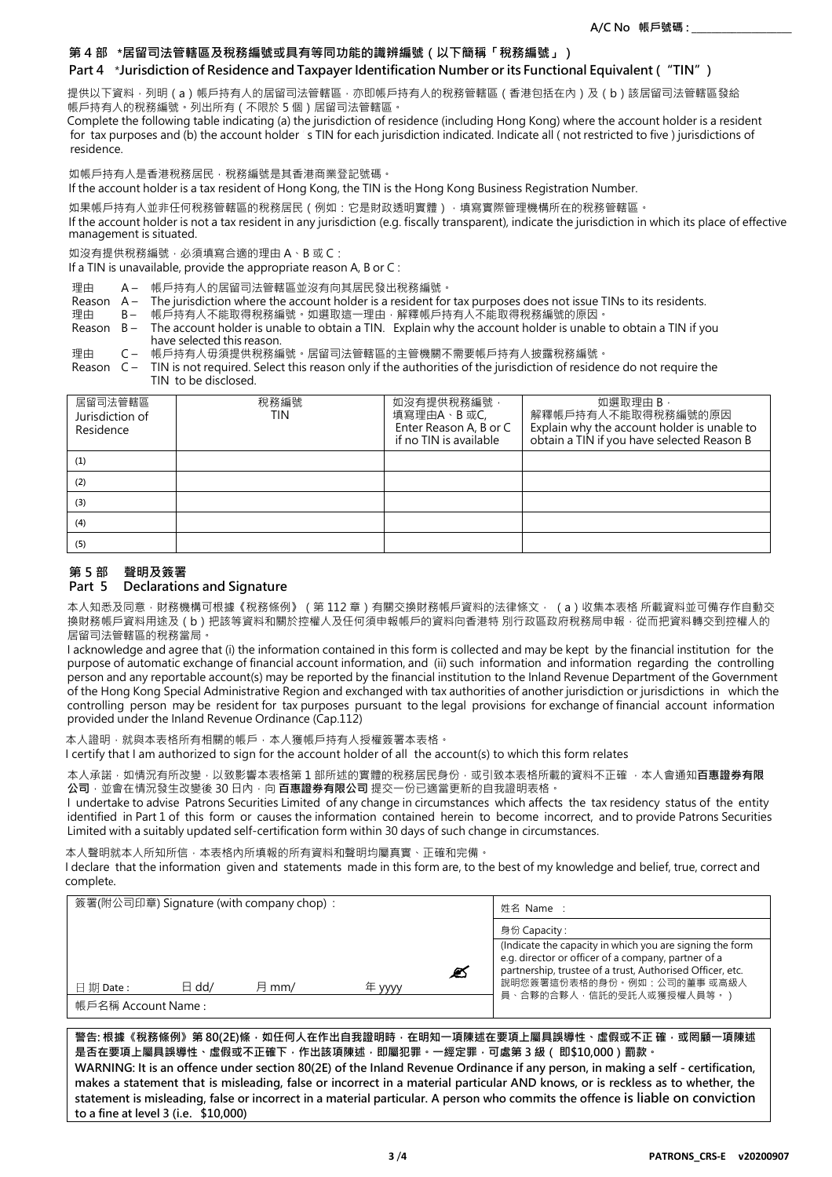### **第 4 部 \*居留司法管轄區及稅務編號或具有等同功能的識辨編號(以下簡稱「稅務編號」)**

### **Part 4** \***Jurisdiction of Residence and Taxpayer Identification Number or its Functional Equivalent ("TIN")**

提供以下資料·列明(a)帳戶持有人的居留司法管轄區,亦即帳戶持有人的稅務管轄區(香港包括在內)及(b)該居留司法管轄區發給 帳戶持有人的稅務編號。列出所有(不限於 5 個)居留司法管轄區。

Complete the following table indicating (a) the jurisdiction of residence (including Hong Kong) where the account holder is a resident for tax purposes and (b) the account holder 's TIN for each jurisdiction indicated. Indicate all (not restricted to five ) jurisdictions of residence.

如帳戶持有人是香港稅務居民,稅務編號是其香港商業登記號碼。

If the account holder is a tax resident of Hong Kong, the TIN is the Hong Kong Business Registration Number.

如果帳戶持有人並非任何稅務管轄區的稅務居民 ( 例如: 它是財政透明實體 ) · 填寫實際管理機構所在的稅務管轄區 ·

If the account holder is not a tax resident in any jurisdiction (e.g. fiscally transparent), indicate the jurisdiction in which its place of effective management is situated.

如沒有提供稅務編號,必須填寫合適的理由 A、B 或 C:

If a TIN is unavailable, provide the appropriate reason A, B or C :

- 理由 A- 帳戶持有人的居留司法管轄區並沒有向其居民發出稅務編號。
- Reason A The jurisdiction where the account holder is a resident for tax purposes does not issue TINs to its residents.
- 理由 B- 帳戶持有人不能取得稅務編號。如選取這一理由‧解釋帳戶持有人不能取得稅務編號的原因‧
- Reason B The account holder is unable to obtain a TIN. Explain why the account holder is unable to obtain a TIN if you have selected this reason.

理由 C – 帳戶持有人毋須提供稅務編號。居留司法管轄區的主管機關不需要帳戶持有人披露稅務編號。

Reason C – TIN is not required. Select this reason only if the authorities of the jurisdiction of residence do not require the TIN to be disclosed.

| 居留司法管轄區<br>Jurisdiction of<br>Residence | 稅務編號<br>TIN | 如沒有提供稅務編號,<br>填寫理由A、B 或C,<br>Enter Reason A, B or C<br>if no TIN is available | 如選取理由 B,<br>解釋帳戶持有人不能取得稅務編號的原因<br>Explain why the account holder is unable to<br>obtain a TIN if you have selected Reason B |
|-----------------------------------------|-------------|-------------------------------------------------------------------------------|-----------------------------------------------------------------------------------------------------------------------------|
| (1)                                     |             |                                                                               |                                                                                                                             |
| (2)                                     |             |                                                                               |                                                                                                                             |
| (3)                                     |             |                                                                               |                                                                                                                             |
| (4)                                     |             |                                                                               |                                                                                                                             |
| (5)                                     |             |                                                                               |                                                                                                                             |

### **第 5 部 聲明及簽署**

### **Part 5 Declarations and Signature**

本人知悉及同意 · 財務機構可根據《稅務條例》(第 112 章)有關交換財務帳戶資料的法律條文 · (a)收集本表格 所載資料並可備存作自動交 換財務帳戶資料用途及 ( b ) 把該等資料和關於控權人及任何須申報帳戶的資料向香港特 別行政區政府稅務局申報 · 從而把資料轉交到控權人的 居留司法管轄區的稅務當局。

I acknowledge and agree that (i) the information contained in this form is collected and may be kept by the financial institution for the purpose of automatic exchange of financial account information, and (ii) such information and information regarding the controlling person and any reportable account(s) may be reported by the financial institution to the Inland Revenue Department of the Government of the Hong Kong Special Administrative Region and exchanged with tax authorities of another jurisdiction or jurisdictions in which the controlling person may be resident for tax purposes pursuant to the legal provisions for exchange of financial account information provided under the Inland Revenue Ordinance (Cap.112)

本人證明,就與本表格所有相關的帳戶,本人獲帳戶持有人授權簽署本表格。

I certify that I am authorized to sign for the account holder of all the account(s) to which this form relates

本人承諾,如情況有所改變,以致影響本表格第 1 部所述的實體的稅務居民身份,或引致本表格所載的資料不正確,本人會通知**百惠證券有限 公司**,並會在情況發生改變後 30 日內,向 **百惠證券有限公司** 提交一份已適當更新的自我證明表格。

I undertake to advise Patrons Securities Limited of any change in circumstances which affects the tax residency status of the entity identified in Part 1 of this form or causes the information contained herein to become incorrect, and to provide Patrons Securities Limited with a suitably updated self-certification form within 30 days of such change in circumstances.

本人聲明就本人所知所信,本表格內所填報的所有資料和聲明均屬真實、正確和完備。

I declare that the information given and statements made in this form are, to the best of my knowledge and belief, true, correct and complete.

| 簽署(附公司印章) Signature (with company chop): |                 |       | 姓名 Name ∶ |   |                                                                                                                                                                                                            |
|------------------------------------------|-----------------|-------|-----------|---|------------------------------------------------------------------------------------------------------------------------------------------------------------------------------------------------------------|
|                                          |                 |       |           |   | 身份 Capacity :                                                                                                                                                                                              |
|                                          |                 |       |           | Ø | (Indicate the capacity in which you are signing the form<br>e.g. director or officer of a company, partner of a<br>partnership, trustee of a trust, Authorised Officer, etc.<br>說明您簽署這份表格的身份。例如:公司的董事 或高級人 |
| 日期 Date :                                | $\boxminus$ dd/ | 月 mm/ | 年 ww      |   |                                                                                                                                                                                                            |
| 帳戶名稱 Account Name :                      |                 |       |           |   | 員、合夥的合夥人,信託的受託人或獲授權人員等。)                                                                                                                                                                                   |

**警告: 根據《稅務條例》第 80(2E)條,如任何人在作出自我證明時,在明知一項陳述在要項上屬具誤導性、虛假或不正 確,或罔顧一項陳述 是否在要項上屬具誤導性、虛假或不正確下,作出該項陳述,即屬犯罪。一經定罪,可處第 3 級( 即\$10,000)罰款。 WARNING: It is an offence under section 80(2E) of the Inland Revenue Ordinance if any person, in making a self - certification, makes a statement that is misleading, false or incorrect in a material particular AND knows, or is reckless as to whether, the statement is misleading, false or incorrect in a material particular. A person who commits the offence is liable on conviction to a fine at level 3 (i.e. \$10,000)**